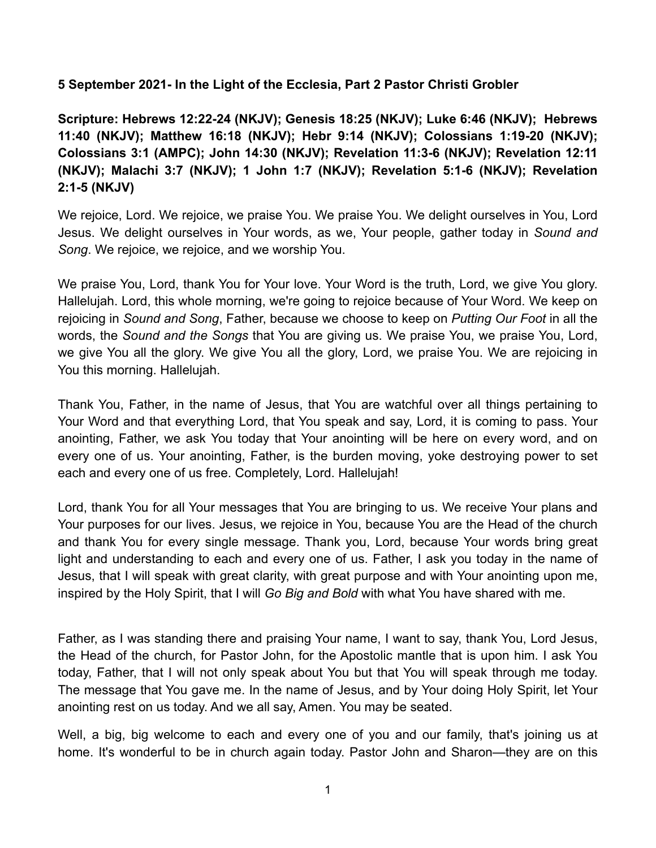## **5 September 2021- In the Light of the Ecclesia, Part 2 Pastor Christi Grobler**

**Scripture: Hebrews 12:22-24 (NKJV); Genesis 18:25 (NKJV); Luke 6:46 (NKJV); Hebrews 11:40 (NKJV); Matthew 16:18 (NKJV); Hebr 9:14 (NKJV); Colossians 1:19-20 (NKJV); Colossians 3:1 (AMPC); John 14:30 (NKJV); Revelation 11:3-6 (NKJV); Revelation 12:11 (NKJV); Malachi 3:7 (NKJV); 1 John 1:7 (NKJV); Revelation 5:1-6 (NKJV); Revelation 2:1-5 (NKJV)**

We rejoice, Lord. We rejoice, we praise You. We praise You. We delight ourselves in You, Lord Jesus. We delight ourselves in Your words, as we, Your people, gather today in *Sound and Song*. We rejoice, we rejoice, and we worship You.

We praise You, Lord, thank You for Your love. Your Word is the truth, Lord, we give You glory. Hallelujah. Lord, this whole morning, we're going to rejoice because of Your Word. We keep on rejoicing in *Sound and Song*, Father, because we choose to keep on *Putting Our Foot* in all the words, the *Sound and the Songs* that You are giving us. We praise You, we praise You, Lord, we give You all the glory. We give You all the glory, Lord, we praise You. We are rejoicing in You this morning. Hallelujah.

Thank You, Father, in the name of Jesus, that You are watchful over all things pertaining to Your Word and that everything Lord, that You speak and say, Lord, it is coming to pass. Your anointing, Father, we ask You today that Your anointing will be here on every word, and on every one of us. Your anointing, Father, is the burden moving, yoke destroying power to set each and every one of us free. Completely, Lord. Hallelujah!

Lord, thank You for all Your messages that You are bringing to us. We receive Your plans and Your purposes for our lives. Jesus, we rejoice in You, because You are the Head of the church and thank You for every single message. Thank you, Lord, because Your words bring great light and understanding to each and every one of us. Father, I ask you today in the name of Jesus, that I will speak with great clarity, with great purpose and with Your anointing upon me, inspired by the Holy Spirit, that I will *Go Big and Bold* with what You have shared with me.

Father, as I was standing there and praising Your name, I want to say, thank You, Lord Jesus, the Head of the church, for Pastor John, for the Apostolic mantle that is upon him. I ask You today, Father, that I will not only speak about You but that You will speak through me today. The message that You gave me. In the name of Jesus, and by Your doing Holy Spirit, let Your anointing rest on us today. And we all say, Amen. You may be seated.

Well, a big, big welcome to each and every one of you and our family, that's joining us at home. It's wonderful to be in church again today. Pastor John and Sharon—they are on this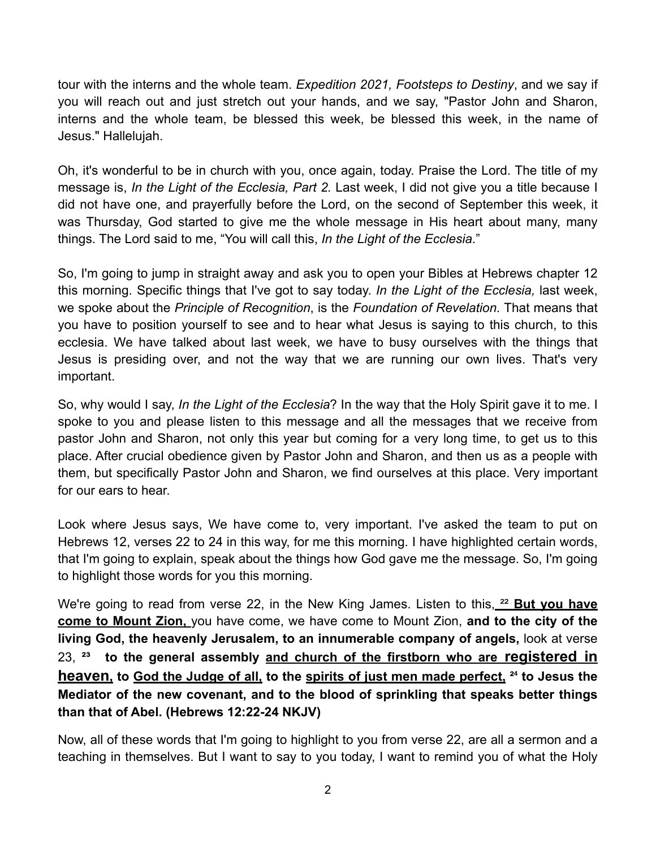tour with the interns and the whole team. *Expedition 2021, Footsteps to Destiny*, and we say if you will reach out and just stretch out your hands, and we say, "Pastor John and Sharon, interns and the whole team, be blessed this week, be blessed this week, in the name of Jesus." Hallelujah.

Oh, it's wonderful to be in church with you, once again, today. Praise the Lord. The title of my message is, *In the Light of the Ecclesia, Part 2.* Last week, I did not give you a title because I did not have one, and prayerfully before the Lord, on the second of September this week, it was Thursday, God started to give me the whole message in His heart about many, many things. The Lord said to me, "You will call this, *In the Light of the Ecclesia*."

So, I'm going to jump in straight away and ask you to open your Bibles at Hebrews chapter 12 this morning. Specific things that I've got to say today. *In the Light of the Ecclesia,* last week, we spoke about the *Principle of Recognition*, is the *Foundation of Revelation.* That means that you have to position yourself to see and to hear what Jesus is saying to this church, to this ecclesia. We have talked about last week, we have to busy ourselves with the things that Jesus is presiding over, and not the way that we are running our own lives. That's very important.

So, why would I say, *In the Light of the Ecclesia*? In the way that the Holy Spirit gave it to me. I spoke to you and please listen to this message and all the messages that we receive from pastor John and Sharon, not only this year but coming for a very long time, to get us to this place. After crucial obedience given by Pastor John and Sharon, and then us as a people with them, but specifically Pastor John and Sharon, we find ourselves at this place. Very important for our ears to hear.

Look where Jesus says, We have come to, very important. I've asked the team to put on Hebrews 12, verses 22 to 24 in this way, for me this morning. I have highlighted certain words, that I'm going to explain, speak about the things how God gave me the message. So, I'm going to highlight those words for you this morning.

We're going to read from verse 22, in the New King James. Listen to this, <sup>22</sup> But you have **come to Mount Zion,** you have come, we have come to Mount Zion, **and to the city of the living God, the heavenly Jerusalem, to an innumerable company of angels,** look at verse 23, <sup>23</sup> to the general assembly and church of the firstborn who are registered in **heaven, to God the Judge of all, to the spirits of just men made perfect, <sup>24</sup> to Jesus the Mediator of the new covenant, and to the blood of sprinkling that speaks better things than that of Abel. (Hebrews 12:22-24 NKJV)** 

Now, all of these words that I'm going to highlight to you from verse 22, are all a sermon and a teaching in themselves. But I want to say to you today, I want to remind you of what the Holy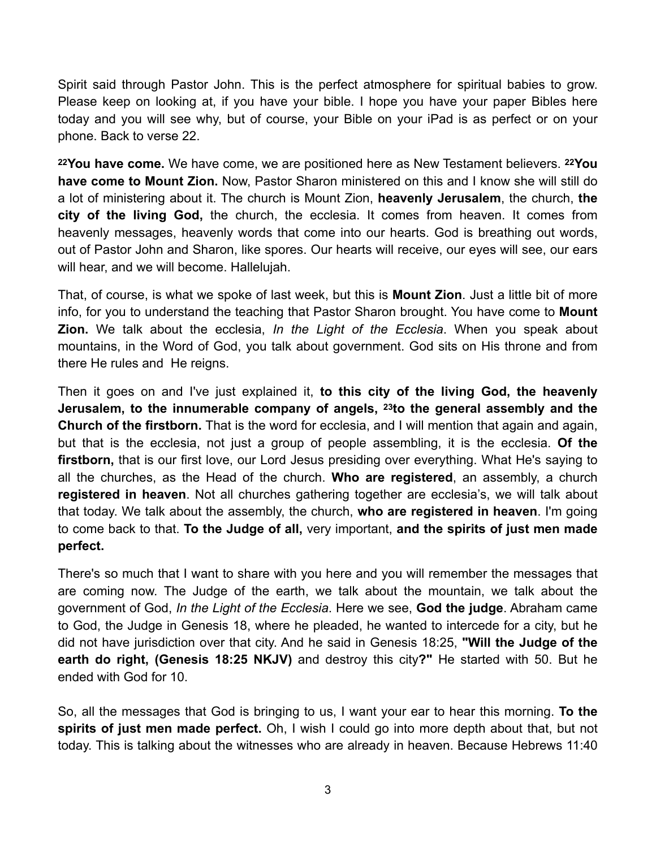Spirit said through Pastor John. This is the perfect atmosphere for spiritual babies to grow. Please keep on looking at, if you have your bible. I hope you have your paper Bibles here today and you will see why, but of course, your Bible on your iPad is as perfect or on your phone. Back to verse 22.

**22You have come.** We have come, we are positioned here as New Testament believers. **22You have come to Mount Zion.** Now, Pastor Sharon ministered on this and I know she will still do a lot of ministering about it. The church is Mount Zion, **heavenly Jerusalem**, the church, **the city of the living God,** the church, the ecclesia. It comes from heaven. It comes from heavenly messages, heavenly words that come into our hearts. God is breathing out words, out of Pastor John and Sharon, like spores. Our hearts will receive, our eyes will see, our ears will hear, and we will become. Hallelujah.

That, of course, is what we spoke of last week, but this is **Mount Zion**. Just a little bit of more info, for you to understand the teaching that Pastor Sharon brought. You have come to **Mount Zion.** We talk about the ecclesia, *In the Light of the Ecclesia*. When you speak about mountains, in the Word of God, you talk about government. God sits on His throne and from there He rules and He reigns.

Then it goes on and I've just explained it, **to this city of the living God, the heavenly Jerusalem, to the innumerable company of angels, 23to the general assembly and the Church of the firstborn.** That is the word for ecclesia, and I will mention that again and again, but that is the ecclesia, not just a group of people assembling, it is the ecclesia. **Of the firstborn,** that is our first love, our Lord Jesus presiding over everything. What He's saying to all the churches, as the Head of the church. **Who are registered**, an assembly, a church **registered in heaven**. Not all churches gathering together are ecclesia's, we will talk about that today. We talk about the assembly, the church, **who are registered in heaven**. I'm going to come back to that. **To the Judge of all,** very important, **and the spirits of just men made perfect.**

There's so much that I want to share with you here and you will remember the messages that are coming now. The Judge of the earth, we talk about the mountain, we talk about the government of God, *In the Light of the Ecclesia*. Here we see, **God the judge**. Abraham came to God, the Judge in Genesis 18, where he pleaded, he wanted to intercede for a city, but he did not have jurisdiction over that city. And he said in Genesis 18:25, **"Will the Judge of the earth do right, (Genesis 18:25 NKJV)** and destroy this city**?"** He started with 50. But he ended with God for 10.

So, all the messages that God is bringing to us, I want your ear to hear this morning. **To the spirits of just men made perfect.** Oh, I wish I could go into more depth about that, but not today. This is talking about the witnesses who are already in heaven. Because Hebrews 11:40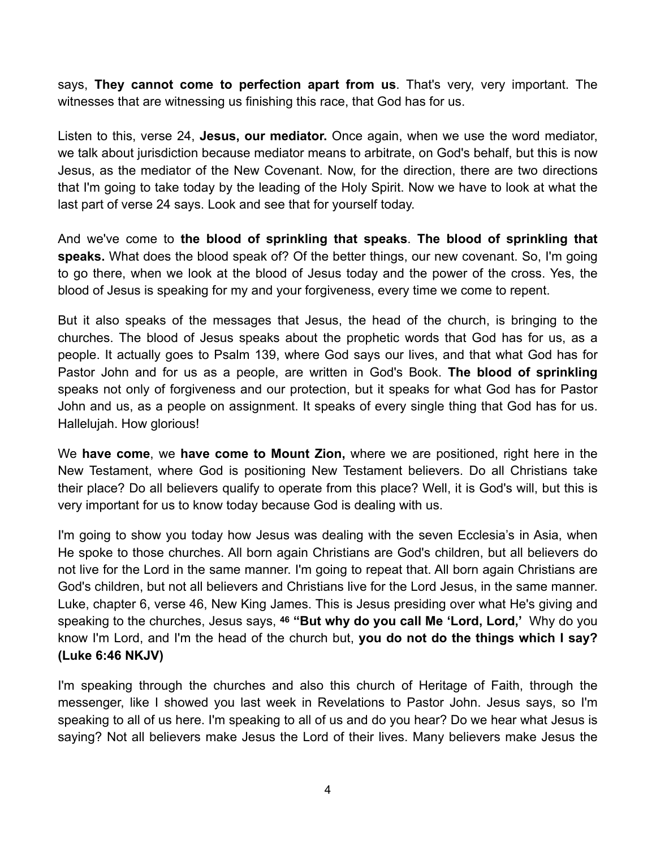says, **They cannot come to perfection apart from us**. That's very, very important. The witnesses that are witnessing us finishing this race, that God has for us.

Listen to this, verse 24, **Jesus, our mediator.** Once again, when we use the word mediator, we talk about jurisdiction because mediator means to arbitrate, on God's behalf, but this is now Jesus, as the mediator of the New Covenant. Now, for the direction, there are two directions that I'm going to take today by the leading of the Holy Spirit. Now we have to look at what the last part of verse 24 says. Look and see that for yourself today.

And we've come to **the blood of sprinkling that speaks**. **The blood of sprinkling that speaks.** What does the blood speak of? Of the better things, our new covenant. So, I'm going to go there, when we look at the blood of Jesus today and the power of the cross. Yes, the blood of Jesus is speaking for my and your forgiveness, every time we come to repent.

But it also speaks of the messages that Jesus, the head of the church, is bringing to the churches. The blood of Jesus speaks about the prophetic words that God has for us, as a people. It actually goes to Psalm 139, where God says our lives, and that what God has for Pastor John and for us as a people, are written in God's Book. **The blood of sprinkling** speaks not only of forgiveness and our protection, but it speaks for what God has for Pastor John and us, as a people on assignment. It speaks of every single thing that God has for us. Hallelujah. How glorious!

We **have come**, we **have come to Mount Zion,** where we are positioned, right here in the New Testament, where God is positioning New Testament believers. Do all Christians take their place? Do all believers qualify to operate from this place? Well, it is God's will, but this is very important for us to know today because God is dealing with us.

I'm going to show you today how Jesus was dealing with the seven Ecclesia's in Asia, when He spoke to those churches. All born again Christians are God's children, but all believers do not live for the Lord in the same manner. I'm going to repeat that. All born again Christians are God's children, but not all believers and Christians live for the Lord Jesus, in the same manner. Luke, chapter 6, verse 46, New King James. This is Jesus presiding over what He's giving and speaking to the churches, Jesus says, **46 "But why do you call Me 'Lord, Lord,'** Why do you know I'm Lord, and I'm the head of the church but, **you do not do the things which I say? (Luke 6:46 NKJV)**

I'm speaking through the churches and also this church of Heritage of Faith, through the messenger, like I showed you last week in Revelations to Pastor John. Jesus says, so I'm speaking to all of us here. I'm speaking to all of us and do you hear? Do we hear what Jesus is saying? Not all believers make Jesus the Lord of their lives. Many believers make Jesus the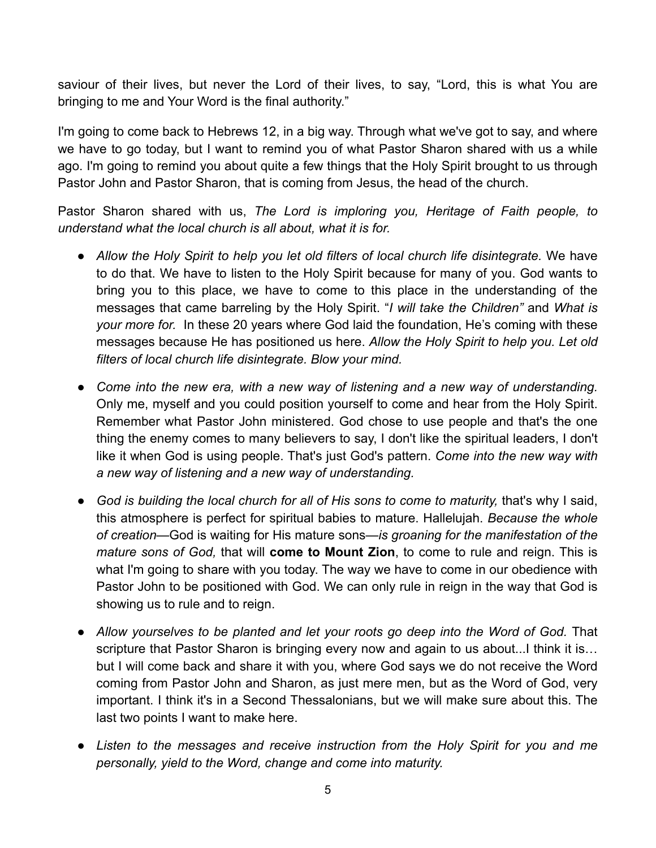saviour of their lives, but never the Lord of their lives, to say, "Lord, this is what You are bringing to me and Your Word is the final authority."

I'm going to come back to Hebrews 12, in a big way. Through what we've got to say, and where we have to go today, but I want to remind you of what Pastor Sharon shared with us a while ago. I'm going to remind you about quite a few things that the Holy Spirit brought to us through Pastor John and Pastor Sharon, that is coming from Jesus, the head of the church.

Pastor Sharon shared with us, *The Lord is imploring you, Heritage of Faith people, to understand what the local church is all about, what it is for.* 

- *Allow the Holy Spirit to help you let old filters of local church life disintegrate.* We have to do that. We have to listen to the Holy Spirit because for many of you. God wants to bring you to this place, we have to come to this place in the understanding of the messages that came barreling by the Holy Spirit. "*I will take the Children"* and *What is your more for.* In these 20 years where God laid the foundation, He's coming with these messages because He has positioned us here. *Allow the Holy Spirit to help you. Let old filters of local church life disintegrate. Blow your mind.*
- Come into the new era, with a new way of listening and a new way of understanding. Only me, myself and you could position yourself to come and hear from the Holy Spirit. Remember what Pastor John ministered. God chose to use people and that's the one thing the enemy comes to many believers to say, I don't like the spiritual leaders, I don't like it when God is using people. That's just God's pattern. *Come into the new way with a new way of listening and a new way of understanding.*
- *God is building the local church for all of His sons to come to maturity,* that's why I said, this atmosphere is perfect for spiritual babies to mature. Hallelujah. *Because the whole of creation—*God is waiting for His mature sons*—is groaning for the manifestation of the mature sons of God,* that will **come to Mount Zion**, to come to rule and reign. This is what I'm going to share with you today. The way we have to come in our obedience with Pastor John to be positioned with God. We can only rule in reign in the way that God is showing us to rule and to reign.
- Allow yourselves to be planted and let your roots go deep into the Word of God. That scripture that Pastor Sharon is bringing every now and again to us about...I think it is… but I will come back and share it with you, where God says we do not receive the Word coming from Pastor John and Sharon, as just mere men, but as the Word of God, very important. I think it's in a Second Thessalonians, but we will make sure about this. The last two points I want to make here.
- *Listen to the messages and receive instruction from the Holy Spirit for you and me personally, yield to the Word, change and come into maturity.*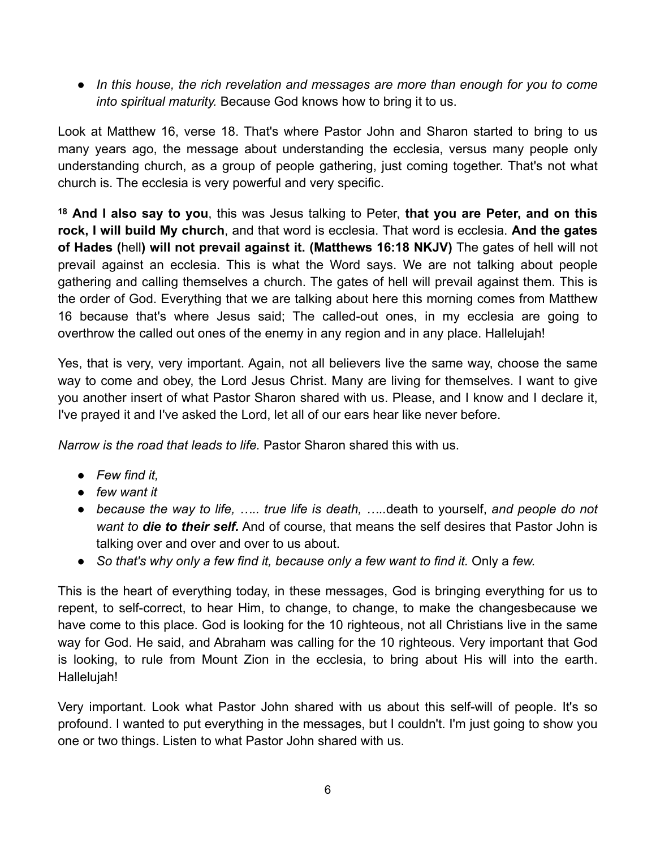● *In this house, the rich revelation and messages are more than enough for you to come into spiritual maturity.* Because God knows how to bring it to us.

Look at Matthew 16, verse 18. That's where Pastor John and Sharon started to bring to us many years ago, the message about understanding the ecclesia, versus many people only understanding church, as a group of people gathering, just coming together. That's not what church is. The ecclesia is very powerful and very specific.

**<sup>18</sup> And I also say to you**, this was Jesus talking to Peter, **that you are Peter, and on this rock, I will build My church**, and that word is ecclesia. That word is ecclesia. **And the gates of Hades (**hell**) will not prevail against it. (Matthews 16:18 NKJV)** The gates of hell will not prevail against an ecclesia. This is what the Word says. We are not talking about people gathering and calling themselves a church. The gates of hell will prevail against them. This is the order of God. Everything that we are talking about here this morning comes from Matthew 16 because that's where Jesus said; The called-out ones, in my ecclesia are going to overthrow the called out ones of the enemy in any region and in any place. Hallelujah!

Yes, that is very, very important. Again, not all believers live the same way, choose the same way to come and obey, the Lord Jesus Christ. Many are living for themselves. I want to give you another insert of what Pastor Sharon shared with us. Please, and I know and I declare it, I've prayed it and I've asked the Lord, let all of our ears hear like never before.

*Narrow is the road that leads to life.* Pastor Sharon shared this with us.

- *Few find it,*
- *few want it*
- *because the way to life, ….. true life is death, …..*death to yourself, *and people do not want to die to their self.* And of course, that means the self desires that Pastor John is talking over and over and over to us about.
- *So that's why only a few find it, because only a few want to find it.* Only a *few.*

This is the heart of everything today, in these messages, God is bringing everything for us to repent, to self-correct, to hear Him, to change, to change, to make the changesbecause we have come to this place. God is looking for the 10 righteous, not all Christians live in the same way for God. He said, and Abraham was calling for the 10 righteous. Very important that God is looking, to rule from Mount Zion in the ecclesia, to bring about His will into the earth. Hallelujah!

Very important. Look what Pastor John shared with us about this self-will of people. It's so profound. I wanted to put everything in the messages, but I couldn't. I'm just going to show you one or two things. Listen to what Pastor John shared with us.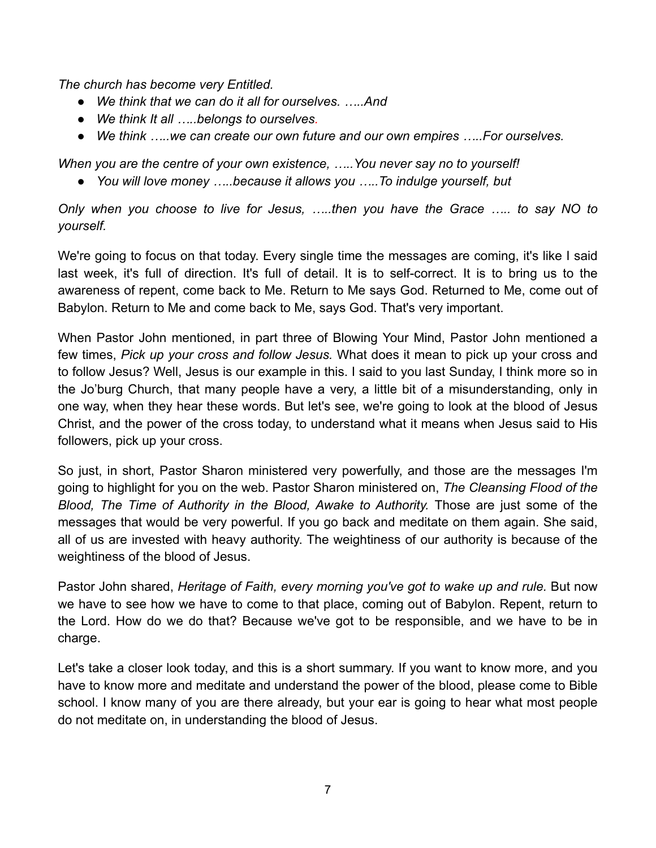*The church has become very Entitled.*

- *We think that we can do it all for ourselves. …..And*
- *We think It all …..belongs to ourselves.*
- *We think …..we can create our own future and our own empires …..For ourselves.*

*When you are the centre of your own existence, …..You never say no to yourself!* 

● *You will love money …..because it allows you …..To indulge yourself, but* 

*Only when you choose to live for Jesus, …..then you have the Grace ….. to say NO to yourself.*

We're going to focus on that today. Every single time the messages are coming, it's like I said last week, it's full of direction. It's full of detail. It is to self-correct. It is to bring us to the awareness of repent, come back to Me. Return to Me says God. Returned to Me, come out of Babylon. Return to Me and come back to Me, says God. That's very important.

When Pastor John mentioned, in part three of Blowing Your Mind, Pastor John mentioned a few times, *Pick up your cross and follow Jesus.* What does it mean to pick up your cross and to follow Jesus? Well, Jesus is our example in this. I said to you last Sunday, I think more so in the Jo'burg Church, that many people have a very, a little bit of a misunderstanding, only in one way, when they hear these words. But let's see, we're going to look at the blood of Jesus Christ, and the power of the cross today, to understand what it means when Jesus said to His followers, pick up your cross.

So just, in short, Pastor Sharon ministered very powerfully, and those are the messages I'm going to highlight for you on the web. Pastor Sharon ministered on, *The Cleansing Flood of the Blood, The Time of Authority in the Blood, Awake to Authority.* Those are just some of the messages that would be very powerful. If you go back and meditate on them again. She said, all of us are invested with heavy authority. The weightiness of our authority is because of the weightiness of the blood of Jesus.

Pastor John shared, *Heritage of Faith, every morning you've got to wake up and rule.* But now we have to see how we have to come to that place, coming out of Babylon. Repent, return to the Lord. How do we do that? Because we've got to be responsible, and we have to be in charge.

Let's take a closer look today, and this is a short summary. If you want to know more, and you have to know more and meditate and understand the power of the blood, please come to Bible school. I know many of you are there already, but your ear is going to hear what most people do not meditate on, in understanding the blood of Jesus.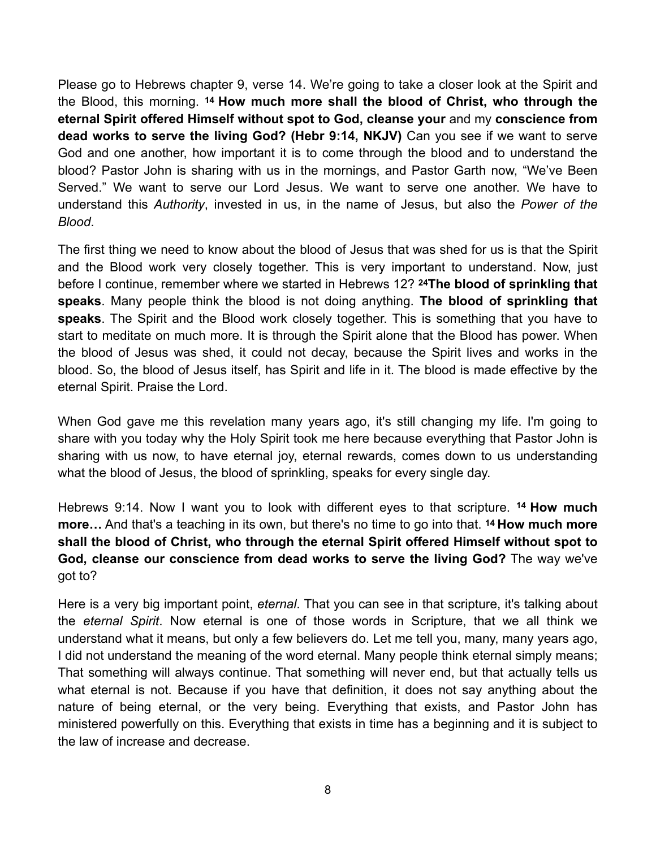Please go to Hebrews chapter 9, verse 14. We're going to take a closer look at the Spirit and the Blood, this morning. **14 How much more shall the blood of Christ, who through the eternal Spirit offered Himself without spot to God, cleanse your** and my **conscience from dead works to serve the living God? (Hebr 9:14, NKJV)** Can you see if we want to serve God and one another, how important it is to come through the blood and to understand the blood? Pastor John is sharing with us in the mornings, and Pastor Garth now, "We've Been Served." We want to serve our Lord Jesus. We want to serve one another. We have to understand this *Authority*, invested in us, in the name of Jesus, but also the *Power of the Blood*.

The first thing we need to know about the blood of Jesus that was shed for us is that the Spirit and the Blood work very closely together. This is very important to understand. Now, just before I continue, remember where we started in Hebrews 12? **24The blood of sprinkling that speaks**. Many people think the blood is not doing anything. **The blood of sprinkling that speaks**. The Spirit and the Blood work closely together. This is something that you have to start to meditate on much more. It is through the Spirit alone that the Blood has power. When the blood of Jesus was shed, it could not decay, because the Spirit lives and works in the blood. So, the blood of Jesus itself, has Spirit and life in it. The blood is made effective by the eternal Spirit. Praise the Lord.

When God gave me this revelation many years ago, it's still changing my life. I'm going to share with you today why the Holy Spirit took me here because everything that Pastor John is sharing with us now, to have eternal joy, eternal rewards, comes down to us understanding what the blood of Jesus, the blood of sprinkling, speaks for every single day.

Hebrews 9:14. Now I want you to look with different eyes to that scripture. **14 How much more…** And that's a teaching in its own, but there's no time to go into that. **14 How much more shall the blood of Christ, who through the eternal Spirit offered Himself without spot to God, cleanse our conscience from dead works to serve the living God?** The way we've got to?

Here is a very big important point, *eternal*. That you can see in that scripture, it's talking about the *eternal Spirit*. Now eternal is one of those words in Scripture, that we all think we understand what it means, but only a few believers do. Let me tell you, many, many years ago, I did not understand the meaning of the word eternal. Many people think eternal simply means; That something will always continue. That something will never end, but that actually tells us what eternal is not. Because if you have that definition, it does not say anything about the nature of being eternal, or the very being. Everything that exists, and Pastor John has ministered powerfully on this. Everything that exists in time has a beginning and it is subject to the law of increase and decrease.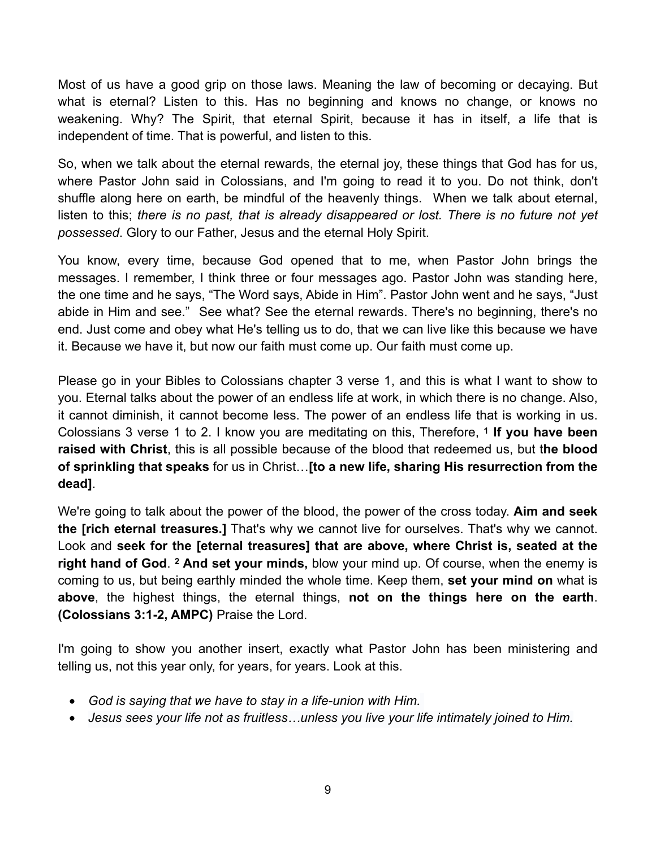Most of us have a good grip on those laws. Meaning the law of becoming or decaying. But what is eternal? Listen to this. Has no beginning and knows no change, or knows no weakening. Why? The Spirit, that eternal Spirit, because it has in itself, a life that is independent of time. That is powerful, and listen to this.

So, when we talk about the eternal rewards, the eternal joy, these things that God has for us, where Pastor John said in Colossians, and I'm going to read it to you. Do not think, don't shuffle along here on earth, be mindful of the heavenly things. When we talk about eternal, listen to this; *there is no past, that is already disappeared or lost. There is no future not yet possessed*. Glory to our Father, Jesus and the eternal Holy Spirit.

You know, every time, because God opened that to me, when Pastor John brings the messages. I remember, I think three or four messages ago. Pastor John was standing here, the one time and he says, "The Word says, Abide in Him". Pastor John went and he says, "Just abide in Him and see." See what? See the eternal rewards. There's no beginning, there's no end. Just come and obey what He's telling us to do, that we can live like this because we have it. Because we have it, but now our faith must come up. Our faith must come up.

Please go in your Bibles to Colossians chapter 3 verse 1, and this is what I want to show to you. Eternal talks about the power of an endless life at work, in which there is no change. Also, it cannot diminish, it cannot become less. The power of an endless life that is working in us. Colossians 3 verse 1 to 2. I know you are meditating on this, Therefore, **1 If you have been raised with Christ**, this is all possible because of the blood that redeemed us, but t**he blood of sprinkling that speaks** for us in Christ…**[to a new life, sharing His resurrection from the dead]**.

We're going to talk about the power of the blood, the power of the cross today. **Aim and seek the [rich eternal treasures.]** That's why we cannot live for ourselves. That's why we cannot. Look and **seek for the [eternal treasures] that are above, where Christ is, seated at the right hand of God**. **2 And set your minds,** blow your mind up. Of course, when the enemy is coming to us, but being earthly minded the whole time. Keep them, **set your mind on** what is **above**, the highest things, the eternal things, **not on the things here on the earth**. **(Colossians 3:1-2, AMPC)** Praise the Lord.

I'm going to show you another insert, exactly what Pastor John has been ministering and telling us, not this year only, for years, for years. Look at this.

- *God is saying that we have to stay in a life-union with Him.*
- *Jesus sees your life not as fruitless…unless you live your life intimately joined to Him.*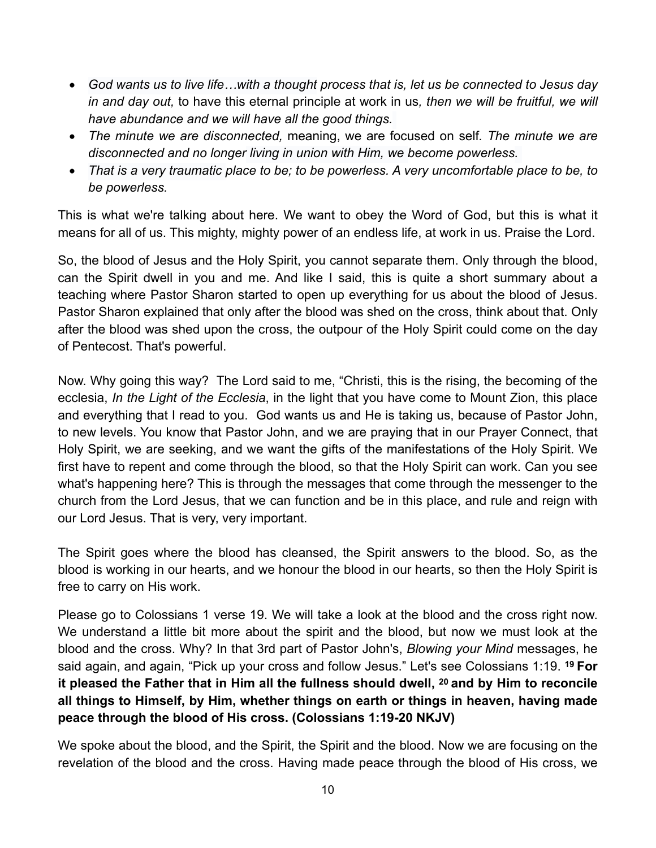- *God wants us to live life…with a thought process that is, let us be connected to Jesus day in and day out,* to have this eternal principle at work in us*, then we will be fruitful, we will have abundance and we will have all the good things.*
- *The minute we are disconnected,* meaning, we are focused on self*. The minute we are disconnected and no longer living in union with Him, we become powerless.*
- *That is a very traumatic place to be; to be powerless. A very uncomfortable place to be, to be powerless.*

This is what we're talking about here. We want to obey the Word of God, but this is what it means for all of us. This mighty, mighty power of an endless life, at work in us. Praise the Lord.

So, the blood of Jesus and the Holy Spirit, you cannot separate them. Only through the blood, can the Spirit dwell in you and me. And like I said, this is quite a short summary about a teaching where Pastor Sharon started to open up everything for us about the blood of Jesus. Pastor Sharon explained that only after the blood was shed on the cross, think about that. Only after the blood was shed upon the cross, the outpour of the Holy Spirit could come on the day of Pentecost. That's powerful.

Now. Why going this way? The Lord said to me, "Christi, this is the rising, the becoming of the ecclesia, *In the Light of the Ecclesia*, in the light that you have come to Mount Zion, this place and everything that I read to you. God wants us and He is taking us, because of Pastor John, to new levels. You know that Pastor John, and we are praying that in our Prayer Connect, that Holy Spirit, we are seeking, and we want the gifts of the manifestations of the Holy Spirit. We first have to repent and come through the blood, so that the Holy Spirit can work. Can you see what's happening here? This is through the messages that come through the messenger to the church from the Lord Jesus, that we can function and be in this place, and rule and reign with our Lord Jesus. That is very, very important.

The Spirit goes where the blood has cleansed, the Spirit answers to the blood. So, as the blood is working in our hearts, and we honour the blood in our hearts, so then the Holy Spirit is free to carry on His work.

Please go to Colossians 1 verse 19. We will take a look at the blood and the cross right now. We understand a little bit more about the spirit and the blood, but now we must look at the blood and the cross. Why? In that 3rd part of Pastor John's, *Blowing your Mind* messages, he said again, and again, "Pick up your cross and follow Jesus." Let's see Colossians 1:19. **19 For it pleased the Father that in Him all the fullness should dwell, 20 and by Him to reconcile all things to Himself, by Him, whether things on earth or things in heaven, having made peace through the blood of His cross. (Colossians 1:19-20 NKJV)**

We spoke about the blood, and the Spirit, the Spirit and the blood. Now we are focusing on the revelation of the blood and the cross. Having made peace through the blood of His cross, we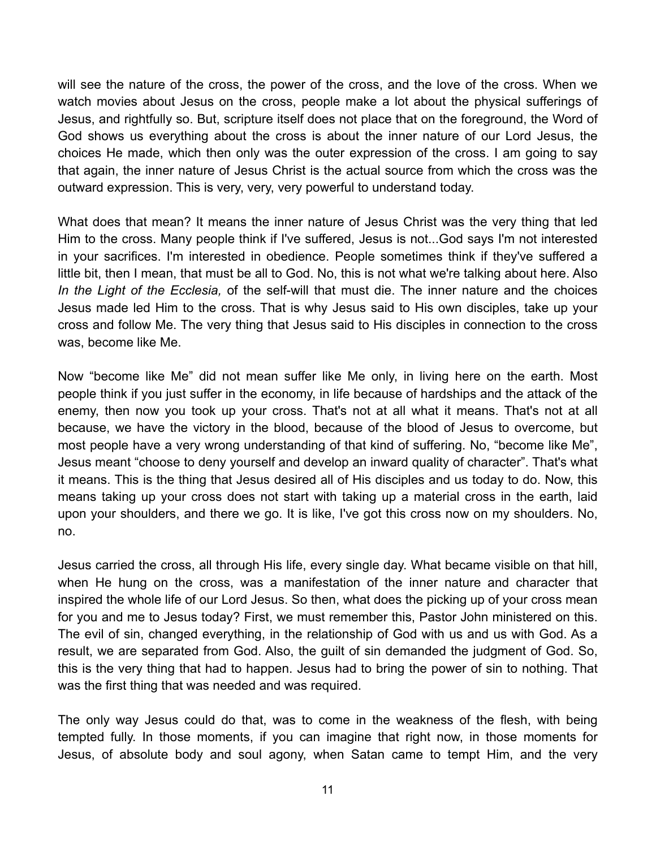will see the nature of the cross, the power of the cross, and the love of the cross. When we watch movies about Jesus on the cross, people make a lot about the physical sufferings of Jesus, and rightfully so. But, scripture itself does not place that on the foreground, the Word of God shows us everything about the cross is about the inner nature of our Lord Jesus, the choices He made, which then only was the outer expression of the cross. I am going to say that again, the inner nature of Jesus Christ is the actual source from which the cross was the outward expression. This is very, very, very powerful to understand today.

What does that mean? It means the inner nature of Jesus Christ was the very thing that led Him to the cross. Many people think if I've suffered, Jesus is not...God says I'm not interested in your sacrifices. I'm interested in obedience. People sometimes think if they've suffered a little bit, then I mean, that must be all to God. No, this is not what we're talking about here. Also *In the Light of the Ecclesia,* of the self-will that must die. The inner nature and the choices Jesus made led Him to the cross. That is why Jesus said to His own disciples, take up your cross and follow Me. The very thing that Jesus said to His disciples in connection to the cross was, become like Me.

Now "become like Me" did not mean suffer like Me only, in living here on the earth. Most people think if you just suffer in the economy, in life because of hardships and the attack of the enemy, then now you took up your cross. That's not at all what it means. That's not at all because, we have the victory in the blood, because of the blood of Jesus to overcome, but most people have a very wrong understanding of that kind of suffering. No, "become like Me", Jesus meant "choose to deny yourself and develop an inward quality of character". That's what it means. This is the thing that Jesus desired all of His disciples and us today to do. Now, this means taking up your cross does not start with taking up a material cross in the earth, laid upon your shoulders, and there we go. It is like, I've got this cross now on my shoulders. No, no.

Jesus carried the cross, all through His life, every single day. What became visible on that hill, when He hung on the cross, was a manifestation of the inner nature and character that inspired the whole life of our Lord Jesus. So then, what does the picking up of your cross mean for you and me to Jesus today? First, we must remember this, Pastor John ministered on this. The evil of sin, changed everything, in the relationship of God with us and us with God. As a result, we are separated from God. Also, the guilt of sin demanded the judgment of God. So, this is the very thing that had to happen. Jesus had to bring the power of sin to nothing. That was the first thing that was needed and was required.

The only way Jesus could do that, was to come in the weakness of the flesh, with being tempted fully. In those moments, if you can imagine that right now, in those moments for Jesus, of absolute body and soul agony, when Satan came to tempt Him, and the very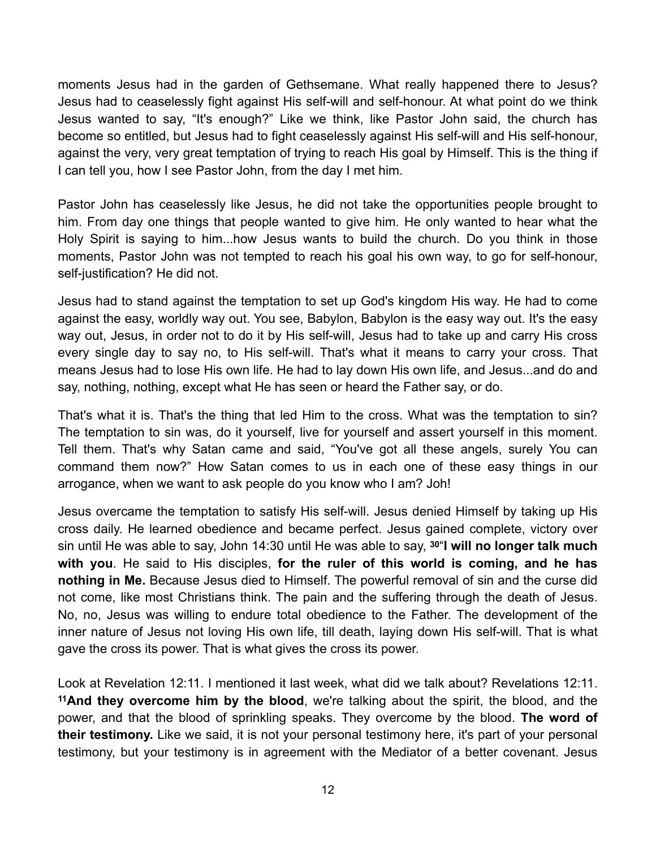moments Jesus had in the garden of Gethsemane. What really happened there to Jesus? Jesus had to ceaselessly fight against His self-will and self-honour. At what point do we think Jesus wanted to say, "It's enough?" Like we think, like Pastor John said, the church has become so entitled, but Jesus had to fight ceaselessly against His self-will and His self-honour, against the very, very great temptation of trying to reach His goal by Himself. This is the thing if I can tell you, how I see Pastor John, from the day I met him.

Pastor John has ceaselessly like Jesus, he did not take the opportunities people brought to him. From day one things that people wanted to give him. He only wanted to hear what the Holy Spirit is saying to him...how Jesus wants to build the church. Do you think in those moments, Pastor John was not tempted to reach his goal his own way, to go for self-honour, self-justification? He did not.

Jesus had to stand against the temptation to set up God's kingdom His way. He had to come against the easy, worldly way out. You see, Babylon, Babylon is the easy way out. It's the easy way out, Jesus, in order not to do it by His self-will, Jesus had to take up and carry His cross every single day to say no, to His self-will. That's what it means to carry your cross. That means Jesus had to lose His own life. He had to lay down His own life, and Jesus...and do and say, nothing, nothing, except what He has seen or heard the Father say, or do.

That's what it is. That's the thing that led Him to the cross. What was the temptation to sin? The temptation to sin was, do it yourself, live for yourself and assert yourself in this moment. Tell them. That's why Satan came and said, "You've got all these angels, surely You can command them now?" How Satan comes to us in each one of these easy things in our arrogance, when we want to ask people do you know who I am? Joh!

Jesus overcame the temptation to satisfy His self-will. Jesus denied Himself by taking up His cross daily. He learned obedience and became perfect. Jesus gained complete, victory over sin until He was able to say, John 14:30 until He was able to say, **30**"**I will no longer talk much with you**. He said to His disciples, **for the ruler of this world is coming, and he has nothing in Me.** Because Jesus died to Himself. The powerful removal of sin and the curse did not come, like most Christians think. The pain and the suffering through the death of Jesus. No, no, Jesus was willing to endure total obedience to the Father. The development of the inner nature of Jesus not loving His own life, till death, laying down His self-will. That is what gave the cross its power. That is what gives the cross its power.

Look at Revelation 12:11. I mentioned it last week, what did we talk about? Revelations 12:11. **11And they overcome him by the blood**, we're talking about the spirit, the blood, and the power, and that the blood of sprinkling speaks. They overcome by the blood. **The word of their testimony.** Like we said, it is not your personal testimony here, it's part of your personal testimony, but your testimony is in agreement with the Mediator of a better covenant. Jesus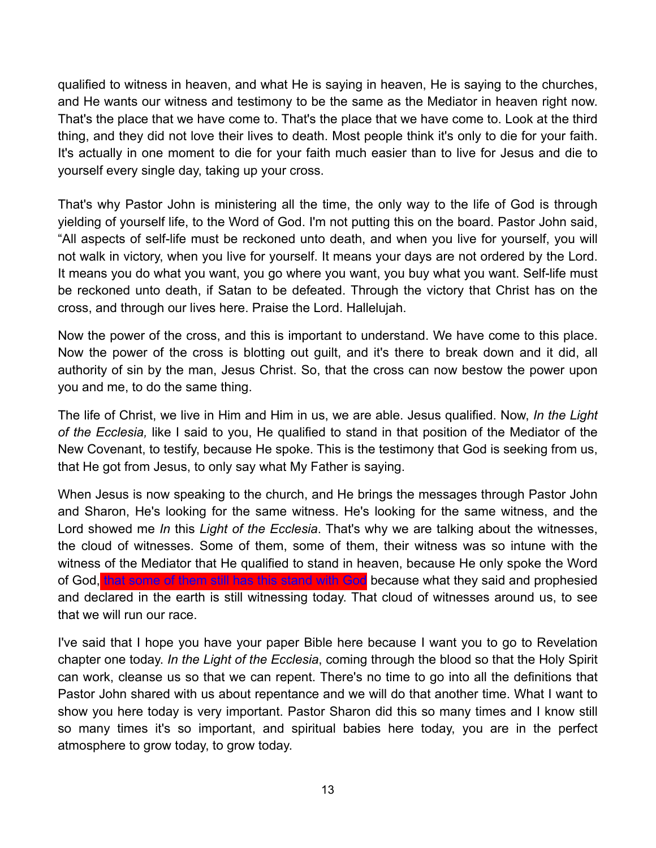qualified to witness in heaven, and what He is saying in heaven, He is saying to the churches, and He wants our witness and testimony to be the same as the Mediator in heaven right now. That's the place that we have come to. That's the place that we have come to. Look at the third thing, and they did not love their lives to death. Most people think it's only to die for your faith. It's actually in one moment to die for your faith much easier than to live for Jesus and die to yourself every single day, taking up your cross.

That's why Pastor John is ministering all the time, the only way to the life of God is through yielding of yourself life, to the Word of God. I'm not putting this on the board. Pastor John said, "All aspects of self-life must be reckoned unto death, and when you live for yourself, you will not walk in victory, when you live for yourself. It means your days are not ordered by the Lord. It means you do what you want, you go where you want, you buy what you want. Self-life must be reckoned unto death, if Satan to be defeated. Through the victory that Christ has on the cross, and through our lives here. Praise the Lord. Hallelujah.

Now the power of the cross, and this is important to understand. We have come to this place. Now the power of the cross is blotting out guilt, and it's there to break down and it did, all authority of sin by the man, Jesus Christ. So, that the cross can now bestow the power upon you and me, to do the same thing.

The life of Christ, we live in Him and Him in us, we are able. Jesus qualified. Now, *In the Light of the Ecclesia,* like I said to you, He qualified to stand in that position of the Mediator of the New Covenant, to testify, because He spoke. This is the testimony that God is seeking from us, that He got from Jesus, to only say what My Father is saying.

When Jesus is now speaking to the church, and He brings the messages through Pastor John and Sharon, He's looking for the same witness. He's looking for the same witness, and the Lord showed me *In* this *Light of the Ecclesia*. That's why we are talking about the witnesses, the cloud of witnesses. Some of them, some of them, their witness was so intune with the witness of the Mediator that He qualified to stand in heaven, because He only spoke the Word of God, that some of them still has this stand with God because what they said and prophesied and declared in the earth is still witnessing today. That cloud of witnesses around us, to see that we will run our race.

I've said that I hope you have your paper Bible here because I want you to go to Revelation chapter one today. *In the Light of the Ecclesia*, coming through the blood so that the Holy Spirit can work, cleanse us so that we can repent. There's no time to go into all the definitions that Pastor John shared with us about repentance and we will do that another time. What I want to show you here today is very important. Pastor Sharon did this so many times and I know still so many times it's so important, and spiritual babies here today, you are in the perfect atmosphere to grow today, to grow today.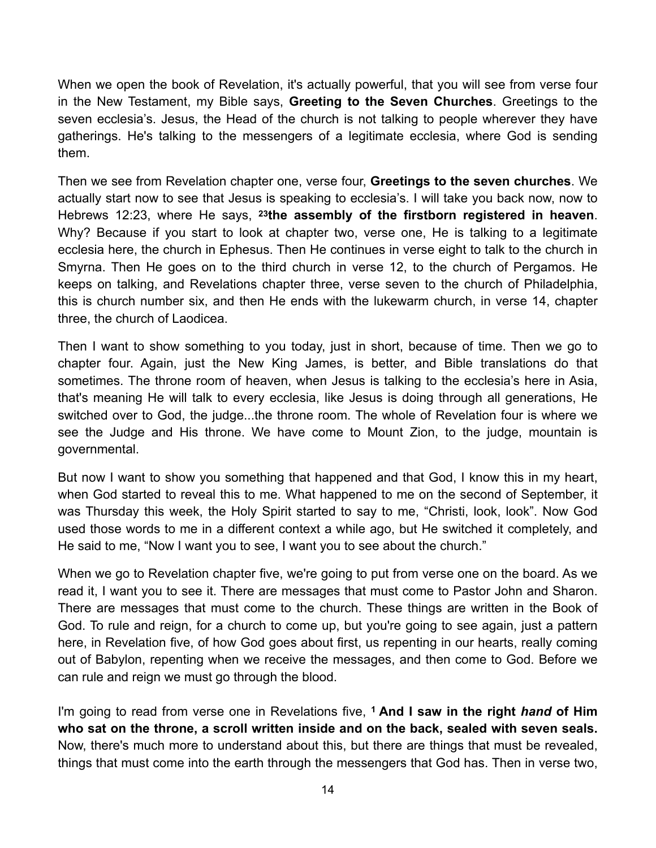When we open the book of Revelation, it's actually powerful, that you will see from verse four in the New Testament, my Bible says, **Greeting to the Seven Churches**. Greetings to the seven ecclesia's. Jesus, the Head of the church is not talking to people wherever they have gatherings. He's talking to the messengers of a legitimate ecclesia, where God is sending them.

Then we see from Revelation chapter one, verse four, **Greetings to the seven churches**. We actually start now to see that Jesus is speaking to ecclesia's. I will take you back now, now to Hebrews 12:23, where He says, **23the assembly of the firstborn registered in heaven**. Why? Because if you start to look at chapter two, verse one, He is talking to a legitimate ecclesia here, the church in Ephesus. Then He continues in verse eight to talk to the church in Smyrna. Then He goes on to the third church in verse 12, to the church of Pergamos. He keeps on talking, and Revelations chapter three, verse seven to the church of Philadelphia, this is church number six, and then He ends with the lukewarm church, in verse 14, chapter three, the church of Laodicea.

Then I want to show something to you today, just in short, because of time. Then we go to chapter four. Again, just the New King James, is better, and Bible translations do that sometimes. The throne room of heaven, when Jesus is talking to the ecclesia's here in Asia, that's meaning He will talk to every ecclesia, like Jesus is doing through all generations, He switched over to God, the judge...the throne room. The whole of Revelation four is where we see the Judge and His throne. We have come to Mount Zion, to the judge, mountain is governmental.

But now I want to show you something that happened and that God, I know this in my heart, when God started to reveal this to me. What happened to me on the second of September, it was Thursday this week, the Holy Spirit started to say to me, "Christi, look, look". Now God used those words to me in a different context a while ago, but He switched it completely, and He said to me, "Now I want you to see, I want you to see about the church."

When we go to Revelation chapter five, we're going to put from verse one on the board. As we read it, I want you to see it. There are messages that must come to Pastor John and Sharon. There are messages that must come to the church. These things are written in the Book of God. To rule and reign, for a church to come up, but you're going to see again, just a pattern here, in Revelation five, of how God goes about first, us repenting in our hearts, really coming out of Babylon, repenting when we receive the messages, and then come to God. Before we can rule and reign we must go through the blood.

I'm going to read from verse one in Revelations five, **1 And I saw in the right** *hand* **of Him who sat on the throne, a scroll written inside and on the back, sealed with seven seals.** Now, there's much more to understand about this, but there are things that must be revealed, things that must come into the earth through the messengers that God has. Then in verse two,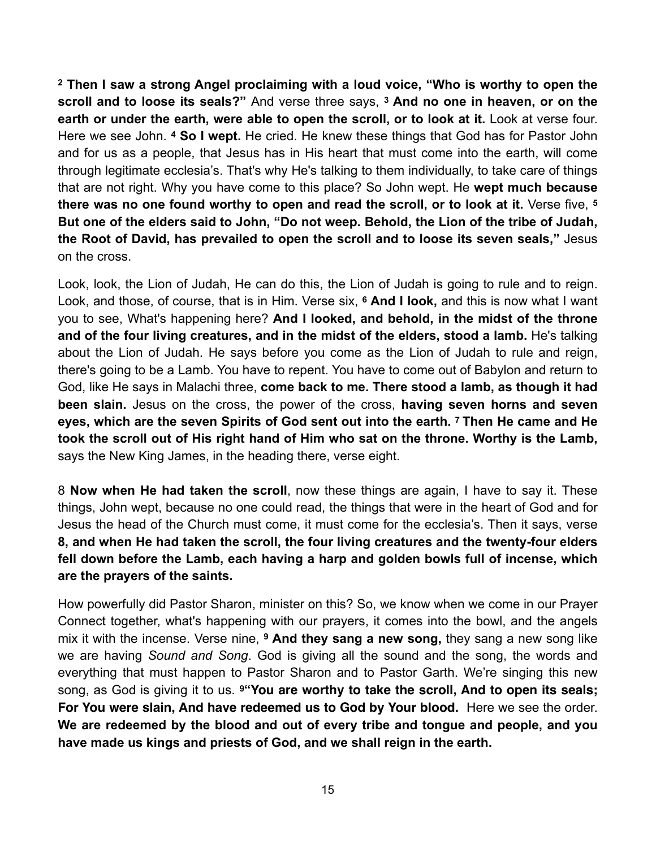**2 Then I saw a strong Angel proclaiming with a loud voice, "Who is worthy to open the scroll and to loose its seals?"** And verse three says, **3 And no one in heaven, or on the earth or under the earth, were able to open the scroll, or to look at it.** Look at verse four. Here we see John. **4 So I wept.** He cried. He knew these things that God has for Pastor John and for us as a people, that Jesus has in His heart that must come into the earth, will come through legitimate ecclesia's. That's why He's talking to them individually, to take care of things that are not right. Why you have come to this place? So John wept. He **wept much because there was no one found worthy to open and read the scroll, or to look at it.** Verse five, **<sup>5</sup> But one of the elders said to John, "Do not weep. Behold, the Lion of the tribe of Judah, the Root of David, has prevailed to open the scroll and to loose its seven seals,"** Jesus on the cross.

Look, look, the Lion of Judah, He can do this, the Lion of Judah is going to rule and to reign. Look, and those, of course, that is in Him. Verse six, **6 And I look,** and this is now what I want you to see, What's happening here? **And I looked, and behold, in the midst of the throne and of the four living creatures, and in the midst of the elders, stood a lamb.** He's talking about the Lion of Judah. He says before you come as the Lion of Judah to rule and reign, there's going to be a Lamb. You have to repent. You have to come out of Babylon and return to God, like He says in Malachi three, **come back to me. There stood a lamb, as though it had been slain.** Jesus on the cross, the power of the cross, **having seven horns and seven eyes, which are the seven Spirits of God sent out into the earth. 7 Then He came and He took the scroll out of His right hand of Him who sat on the throne. Worthy is the Lamb,** says the New King James, in the heading there, verse eight.

8 **Now when He had taken the scroll**, now these things are again, I have to say it. These things, John wept, because no one could read, the things that were in the heart of God and for Jesus the head of the Church must come, it must come for the ecclesia's. Then it says, verse **8, and when He had taken the scroll, the four living creatures and the twenty-four elders fell down before the Lamb, each having a harp and golden bowls full of incense, which are the prayers of the saints.**

How powerfully did Pastor Sharon, minister on this? So, we know when we come in our Prayer Connect together, what's happening with our prayers, it comes into the bowl, and the angels mix it with the incense. Verse nine, **9 And they sang a new song,** they sang a new song like we are having *Sound and Song*. God is giving all the sound and the song, the words and everything that must happen to Pastor Sharon and to Pastor Garth. We're singing this new song, as God is giving it to us. **9"You are worthy to take the scroll, And to open its seals; For You were slain, And have redeemed us to God by Your blood.** Here we see the order. **We are redeemed by the blood and out of every tribe and tongue and people, and you have made us kings and priests of God, and we shall reign in the earth.**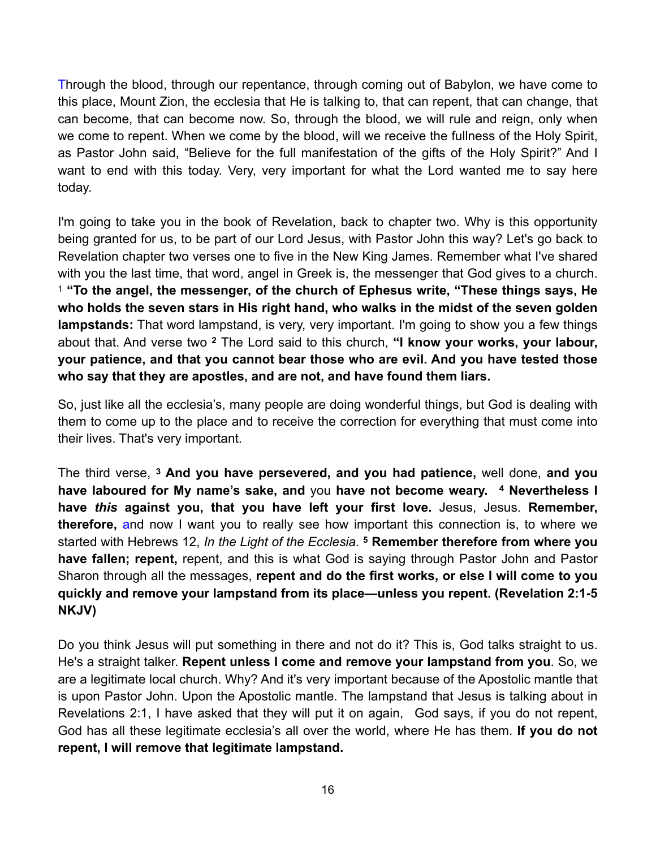Through the blood, through our repentance, through coming out of Babylon, we have come to this place, Mount Zion, the ecclesia that He is talking to, that can repent, that can change, that can become, that can become now. So, through the blood, we will rule and reign, only when we come to repent. When we come by the blood, will we receive the fullness of the Holy Spirit, as Pastor John said, "Believe for the full manifestation of the gifts of the Holy Spirit?" And I want to end with this today. Very, very important for what the Lord wanted me to say here today.

I'm going to take you in the book of Revelation, back to chapter two. Why is this opportunity being granted for us, to be part of our Lord Jesus, with Pastor John this way? Let's go back to Revelation chapter two verses one to five in the New King James. Remember what I've shared with you the last time, that word, angel in Greek is, the messenger that God gives to a church. <sup>1</sup> **"To the angel, the messenger, of the church of Ephesus write, "These things says, He who holds the seven stars in His right hand, who walks in the midst of the seven golden lampstands:** That word lampstand, is very, very important. I'm going to show you a few things about that. And verse two **<sup>2</sup>** The Lord said to this church, **"I know your works, your labour, your patience, and that you cannot bear those who are evil. And you have tested those who say that they are apostles, and are not, and have found them liars.**

So, just like all the ecclesia's, many people are doing wonderful things, but God is dealing with them to come up to the place and to receive the correction for everything that must come into their lives. That's very important.

The third verse, **3 And you have persevered, and you had patience,** well done, **and you have laboured for My name's sake, and** you **have not become weary. 4 Nevertheless I have** *this* **against you, that you have left your first love.** Jesus, Jesus. **Remember, therefore,** and now I want you to really see how important this connection is, to where we started with Hebrews 12, *In the Light of the Ecclesia*. **<sup>5</sup> Remember therefore from where you have fallen; repent,** repent, and this is what God is saying through Pastor John and Pastor Sharon through all the messages, **repent and do the first works, or else I will come to you quickly and remove your lampstand from its place—unless you repent. (Revelation 2:1-5 NKJV)**

Do you think Jesus will put something in there and not do it? This is, God talks straight to us. He's a straight talker. **Repent unless I come and remove your lampstand from you**. So, we are a legitimate local church. Why? And it's very important because of the Apostolic mantle that is upon Pastor John. Upon the Apostolic mantle. The lampstand that Jesus is talking about in Revelations 2:1, I have asked that they will put it on again, God says, if you do not repent, God has all these legitimate ecclesia's all over the world, where He has them. **If you do not repent, I will remove that legitimate lampstand.**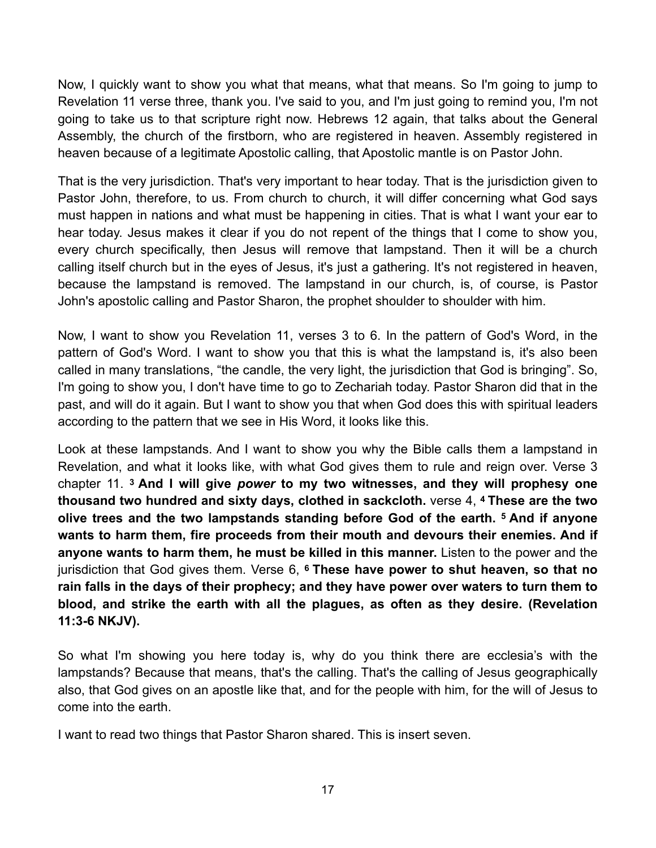Now, I quickly want to show you what that means, what that means. So I'm going to jump to Revelation 11 verse three, thank you. I've said to you, and I'm just going to remind you, I'm not going to take us to that scripture right now. Hebrews 12 again, that talks about the General Assembly, the church of the firstborn, who are registered in heaven. Assembly registered in heaven because of a legitimate Apostolic calling, that Apostolic mantle is on Pastor John.

That is the very jurisdiction. That's very important to hear today. That is the jurisdiction given to Pastor John, therefore, to us. From church to church, it will differ concerning what God says must happen in nations and what must be happening in cities. That is what I want your ear to hear today. Jesus makes it clear if you do not repent of the things that I come to show you, every church specifically, then Jesus will remove that lampstand. Then it will be a church calling itself church but in the eyes of Jesus, it's just a gathering. It's not registered in heaven, because the lampstand is removed. The lampstand in our church, is, of course, is Pastor John's apostolic calling and Pastor Sharon, the prophet shoulder to shoulder with him.

Now, I want to show you Revelation 11, verses 3 to 6. In the pattern of God's Word, in the pattern of God's Word. I want to show you that this is what the lampstand is, it's also been called in many translations, "the candle, the very light, the jurisdiction that God is bringing". So, I'm going to show you, I don't have time to go to Zechariah today. Pastor Sharon did that in the past, and will do it again. But I want to show you that when God does this with spiritual leaders according to the pattern that we see in His Word, it looks like this.

Look at these lampstands. And I want to show you why the Bible calls them a lampstand in Revelation, and what it looks like, with what God gives them to rule and reign over. Verse 3 chapter 11. **3 And I will give** *power* **to my two witnesses, and they will prophesy one thousand two hundred and sixty days, clothed in sackcloth.** verse 4, **4 These are the two olive trees and the two lampstands standing before God of the earth. 5 And if anyone wants to harm them, fire proceeds from their mouth and devours their enemies. And if anyone wants to harm them, he must be killed in this manner.** Listen to the power and the jurisdiction that God gives them. Verse 6, **6 These have power to shut heaven, so that no rain falls in the days of their prophecy; and they have power over waters to turn them to blood, and strike the earth with all the plagues, as often as they desire. (Revelation 11:3-6 NKJV).**

So what I'm showing you here today is, why do you think there are ecclesia's with the lampstands? Because that means, that's the calling. That's the calling of Jesus geographically also, that God gives on an apostle like that, and for the people with him, for the will of Jesus to come into the earth.

I want to read two things that Pastor Sharon shared. This is insert seven.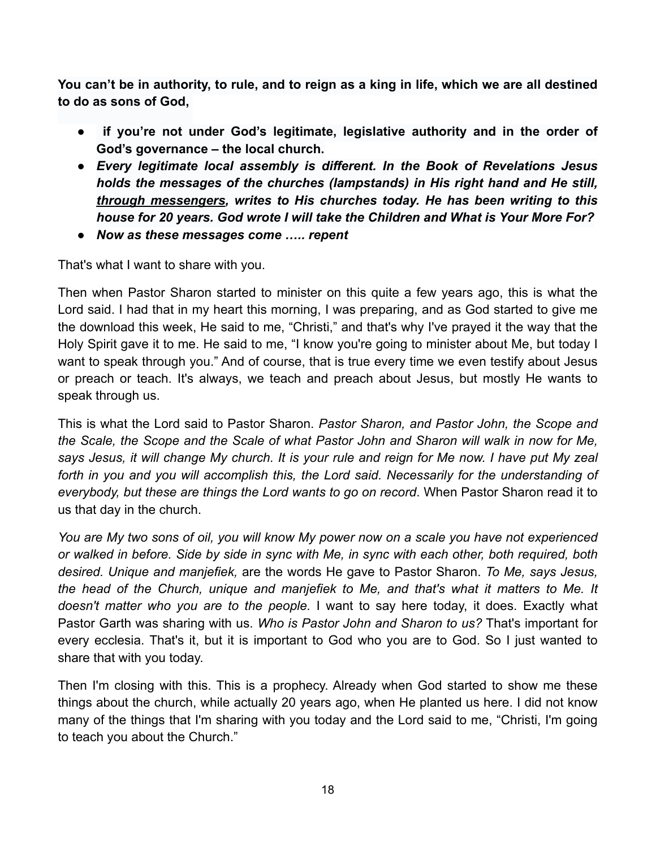**You can't be in authority, to rule, and to reign as a king in life, which we are all destined to do as sons of God,** 

- ● **if you're not under God's legitimate, legislative authority and in the order of God's governance – the local church.**
- *Every legitimate local assembly is different. In the Book of Revelations Jesus holds the messages of the churches (lampstands) in His right hand and He still, through messengers, writes to His churches today. He has been writing to this house for 20 years. God wrote I will take the Children and What is Your More For?*
- *Now as these messages come ….. repent*

That's what I want to share with you.

Then when Pastor Sharon started to minister on this quite a few years ago, this is what the Lord said. I had that in my heart this morning, I was preparing, and as God started to give me the download this week, He said to me, "Christi," and that's why I've prayed it the way that the Holy Spirit gave it to me. He said to me, "I know you're going to minister about Me, but today I want to speak through you." And of course, that is true every time we even testify about Jesus or preach or teach. It's always, we teach and preach about Jesus, but mostly He wants to speak through us.

This is what the Lord said to Pastor Sharon. *Pastor Sharon, and Pastor John, the Scope and the Scale, the Scope and the Scale of what Pastor John and Sharon will walk in now for Me, says Jesus, it will change My church. It is your rule and reign for Me now. I have put My zeal forth in you and you will accomplish this, the Lord said. Necessarily for the understanding of everybody, but these are things the Lord wants to go on record*. When Pastor Sharon read it to us that day in the church.

*You are My two sons of oil, you will know My power now on a scale you have not experienced or walked in before. Side by side in sync with Me, in sync with each other, both required, both desired. Unique and manjefiek,* are the words He gave to Pastor Sharon. *To Me, says Jesus, the head of the Church, unique and manjefiek to Me, and that's what it matters to Me. It doesn't matter who you are to the people.* I want to say here today, it does. Exactly what Pastor Garth was sharing with us. *Who is Pastor John and Sharon to us?* That's important for every ecclesia. That's it, but it is important to God who you are to God. So I just wanted to share that with you today.

Then I'm closing with this. This is a prophecy. Already when God started to show me these things about the church, while actually 20 years ago, when He planted us here. I did not know many of the things that I'm sharing with you today and the Lord said to me, "Christi, I'm going to teach you about the Church."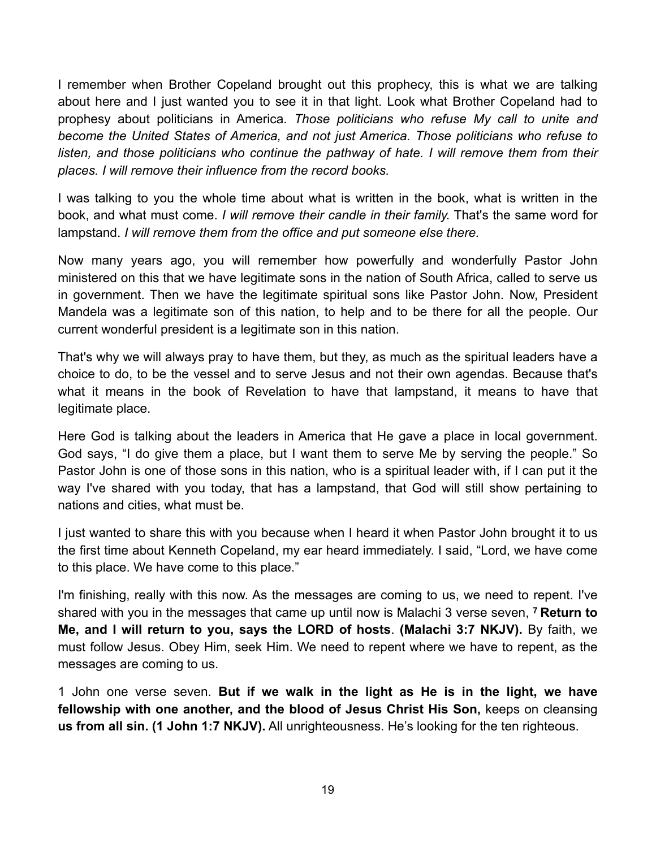I remember when Brother Copeland brought out this prophecy, this is what we are talking about here and I just wanted you to see it in that light. Look what Brother Copeland had to prophesy about politicians in America. *Those politicians who refuse My call to unite and become the United States of America, and not just America. Those politicians who refuse to*  listen, and those politicians who continue the pathway of hate. I will remove them from their *places. I will remove their influence from the record books.*

I was talking to you the whole time about what is written in the book, what is written in the book, and what must come. *I will remove their candle in their family.* That's the same word for lampstand. *I will remove them from the office and put someone else there.*

Now many years ago, you will remember how powerfully and wonderfully Pastor John ministered on this that we have legitimate sons in the nation of South Africa, called to serve us in government. Then we have the legitimate spiritual sons like Pastor John. Now, President Mandela was a legitimate son of this nation, to help and to be there for all the people. Our current wonderful president is a legitimate son in this nation.

That's why we will always pray to have them, but they, as much as the spiritual leaders have a choice to do, to be the vessel and to serve Jesus and not their own agendas. Because that's what it means in the book of Revelation to have that lampstand, it means to have that legitimate place.

Here God is talking about the leaders in America that He gave a place in local government. God says, "I do give them a place, but I want them to serve Me by serving the people." So Pastor John is one of those sons in this nation, who is a spiritual leader with, if I can put it the way I've shared with you today, that has a lampstand, that God will still show pertaining to nations and cities, what must be.

I just wanted to share this with you because when I heard it when Pastor John brought it to us the first time about Kenneth Copeland, my ear heard immediately. I said, "Lord, we have come to this place. We have come to this place."

I'm finishing, really with this now. As the messages are coming to us, we need to repent. I've shared with you in the messages that came up until now is Malachi 3 verse seven, **7 Return to Me, and I will return to you, says the LORD of hosts**. **(Malachi 3:7 NKJV).** By faith, we must follow Jesus. Obey Him, seek Him. We need to repent where we have to repent, as the messages are coming to us.

1 John one verse seven. **But if we walk in the light as He is in the light, we have fellowship with one another, and the blood of Jesus Christ His Son,** keeps on cleansing **us from all sin. (1 John 1:7 NKJV).** All unrighteousness. He's looking for the ten righteous.